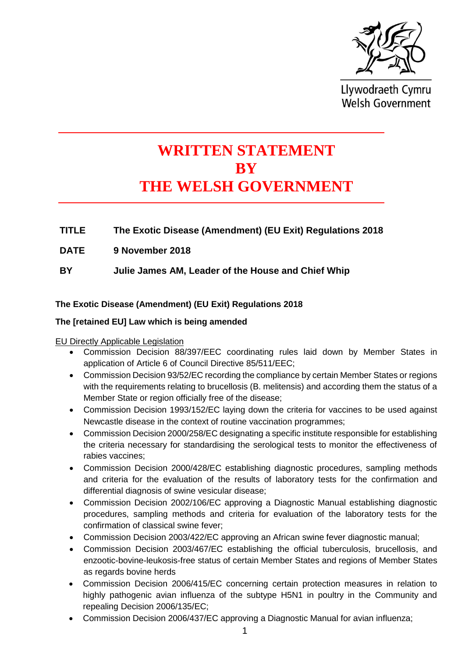

Llywodraeth Cymru **Welsh Government** 

# **WRITTEN STATEMENT BY THE WELSH GOVERNMENT**

# **TITLE The Exotic Disease (Amendment) (EU Exit) Regulations 2018**

**DATE 9 November 2018**

**BY Julie James AM, Leader of the House and Chief Whip**

## **The Exotic Disease (Amendment) (EU Exit) Regulations 2018**

## **The [retained EU] Law which is being amended**

EU Directly Applicable Legislation

- Commission Decision 88/397/EEC coordinating rules laid down by Member States in application of Article 6 of Council Directive 85/511/EEC;
- Commission Decision 93/52/EC recording the compliance by certain Member States or regions with the requirements relating to brucellosis (B. melitensis) and according them the status of a Member State or region officially free of the disease;
- Commission Decision 1993/152/EC laying down the criteria for vaccines to be used against Newcastle disease in the context of routine vaccination programmes;
- Commission Decision 2000/258/EC designating a specific institute responsible for establishing the criteria necessary for standardising the serological tests to monitor the effectiveness of rabies vaccines;
- Commission Decision 2000/428/EC establishing diagnostic procedures, sampling methods and criteria for the evaluation of the results of laboratory tests for the confirmation and differential diagnosis of swine vesicular disease;
- Commission Decision 2002/106/EC approving a Diagnostic Manual establishing diagnostic procedures, sampling methods and criteria for evaluation of the laboratory tests for the confirmation of classical swine fever;
- Commission Decision 2003/422/EC approving an African swine fever diagnostic manual;
- Commission Decision 2003/467/EC establishing the official tuberculosis, brucellosis, and enzootic-bovine-leukosis-free status of certain Member States and regions of Member States as regards bovine herds
- Commission Decision 2006/415/EC concerning certain protection measures in relation to highly pathogenic avian influenza of the subtype H5N1 in poultry in the Community and repealing Decision 2006/135/EC;
- Commission Decision 2006/437/EC approving a Diagnostic Manual for avian influenza;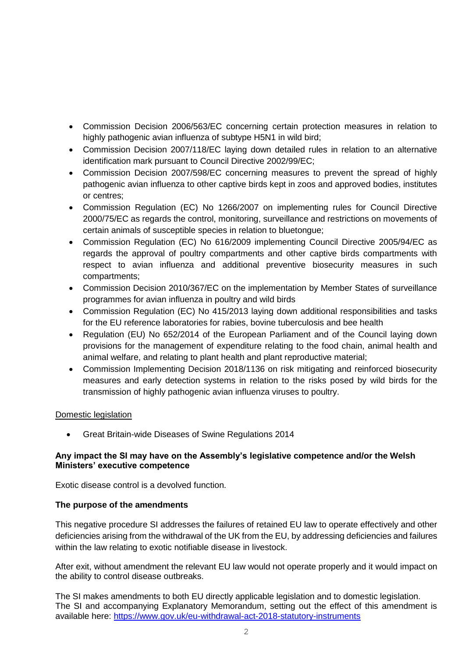- Commission Decision 2006/563/EC concerning certain protection measures in relation to highly pathogenic avian influenza of subtype H5N1 in wild bird;
- Commission Decision 2007/118/EC laying down detailed rules in relation to an alternative identification mark pursuant to Council Directive 2002/99/EC;
- Commission Decision 2007/598/EC concerning measures to prevent the spread of highly pathogenic avian influenza to other captive birds kept in zoos and approved bodies, institutes or centres;
- Commission Regulation (EC) No 1266/2007 on implementing rules for Council Directive 2000/75/EC as regards the control, monitoring, surveillance and restrictions on movements of certain animals of susceptible species in relation to bluetongue;
- Commission Regulation (EC) No 616/2009 implementing Council Directive 2005/94/EC as regards the approval of poultry compartments and other captive birds compartments with respect to avian influenza and additional preventive biosecurity measures in such compartments;
- Commission Decision 2010/367/EC on the implementation by Member States of surveillance programmes for avian influenza in poultry and wild birds
- Commission Regulation (EC) No 415/2013 laying down additional responsibilities and tasks for the EU reference laboratories for rabies, bovine tuberculosis and bee health
- Regulation (EU) No 652/2014 of the European Parliament and of the Council laying down provisions for the management of expenditure relating to the food chain, animal health and animal welfare, and relating to plant health and plant reproductive material;
- Commission Implementing Decision 2018/1136 on risk mitigating and reinforced biosecurity measures and early detection systems in relation to the risks posed by wild birds for the transmission of highly pathogenic avian influenza viruses to poultry.

## Domestic legislation

• Great Britain-wide Diseases of Swine Regulations 2014

#### **Any impact the SI may have on the Assembly's legislative competence and/or the Welsh Ministers' executive competence**

Exotic disease control is a devolved function.

## **The purpose of the amendments**

This negative procedure SI addresses the failures of retained EU law to operate effectively and other deficiencies arising from the withdrawal of the UK from the EU, by addressing deficiencies and failures within the law relating to exotic notifiable disease in livestock.

After exit, without amendment the relevant EU law would not operate properly and it would impact on the ability to control disease outbreaks.

The SI makes amendments to both EU directly applicable legislation and to domestic legislation. The SI and accompanying Explanatory Memorandum, setting out the effect of this amendment is available here: https://www.gov.uk/eu-withdrawal-act-2018-statutory-instruments